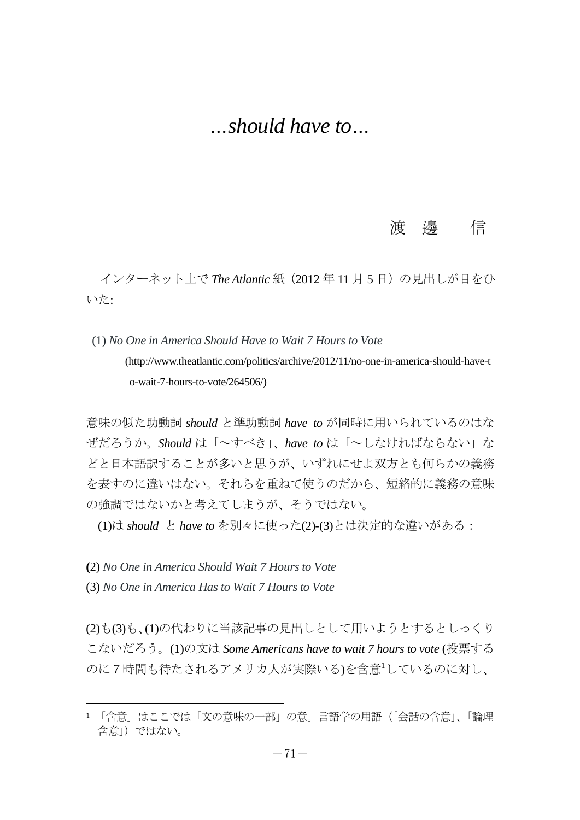## *…should have to…*

## 渡 邊 信

インターネット上で The Atlantic 紙 (2012 年 11 月 5 日)の見出しが目をひ いた:

(1) *No One in America Should Have to Wait 7 Hours to Vote* (http://www.theatlantic.com/politics/archive/2012/11/no-one-in-america-should-have-t o-wait-7-hours-to-vote/264506/)

意味の似た助動詞 *should* と準助動詞 *have to* が同時に用いられているのはな ぜだろうか。*Should* は「~すべき」、*have to* は「~しなければならない」な どと日本語訳することが多いと思うが、いずれにせよ双方とも何らかの義務 を表すのに違いはない。それらを重ねて使うのだから、短絡的に義務の意味 の強調ではないかと考えてしまうが、そうではない。

(1)は *should* と *have to* を別々に使った(2)-(3)とは決定的な違いがある:

**(**2) *No One in America Should Wait 7 Hours to Vote*

(3) *No One in America Has to Wait 7 Hours to Vote*

l

(2)も(3)も、(1)の代わりに当該記事の見出しとして用いようとするとしっくり こないだろう。(1)の文は *Some Americans have to wait 7 hours to vote* (投票する のに7時間も待たされるアメリカ人が実際いる)を含意<sup>1</sup>しているのに対し、

<sup>1 「</sup>含意」はここでは「文の意味の一部」の意。言語学の用語 (「会話の含意」、「論理 含意」)ではない。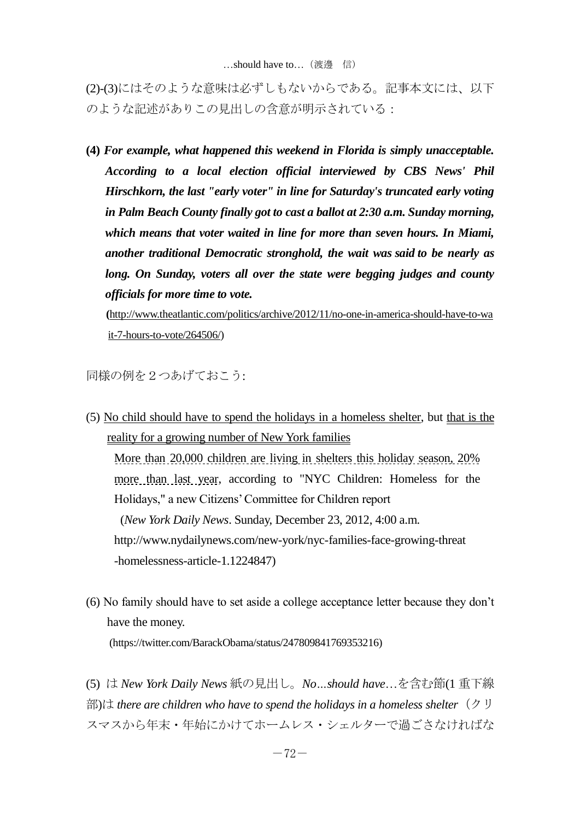(2)-(3)にはそのような意味は必ずしもないからである。記事本文には、以下 のような記述がありこの見出しの含意が明示されている:

**(4)** *For example, what happened this weekend in Florida is simply unacceptable. According to a local election official interviewed by CBS News' Phil Hirschkorn, the last "early voter" in line for Saturday's truncated early voting in Palm Beach County finally got to cast a ballot at 2:30 a.m. Sunday morning, which means that voter waited in line for more than seven hours. In Miami, another traditional Democratic stronghold, the wait was [said](http://miami.cbslocal.com/2012/11/03/last-day-of-early-voting-opens-in-miami-dade/) to be nearly as long. On Sunday, voters all over the state were begging judges and county officials for more time to vote.*

**(**[http://www.theatlantic.com/politics/archive/2012/11/no-one-in-america-should-have-to-wa](http://www.theatlantic.com/politics/archive/2012/11/no-one-in-america-should-have-to-wait-7-hours-to-vote/264506/) [it-7-hours-to-vote/264506/\)](http://www.theatlantic.com/politics/archive/2012/11/no-one-in-america-should-have-to-wait-7-hours-to-vote/264506/)

同様の例を2つあげておこう:

- (5) No child should have to spend the holidays in a homeless shelter, but that is the reality for a growing number of New York families More than 20,000 children are living in shelters this holiday season, 20% more than last year, according to "NYC Children: Homeless for the Holidays," a new Citizens' Committee for Children report (*New York Daily News*. Sunday, December 23, 2012, 4:00 a.m. http://www.nydailynews.com/new-york/nyc-families-face-growing-threat -homelessness-article-1.1224847)
- (6) No family should have to set aside a college acceptance letter because they don't have the money.

(https://twitter.com/BarackObama/status/247809841769353216)

(5) は *New York Daily News* 紙の見出し。*No…should have*…を含む節(1 重下線 部)は *there are children who have to spend the holidays in a homeless shelter*(クリ スマスから年末・年始にかけてホームレス・シェルターで過ごさなければな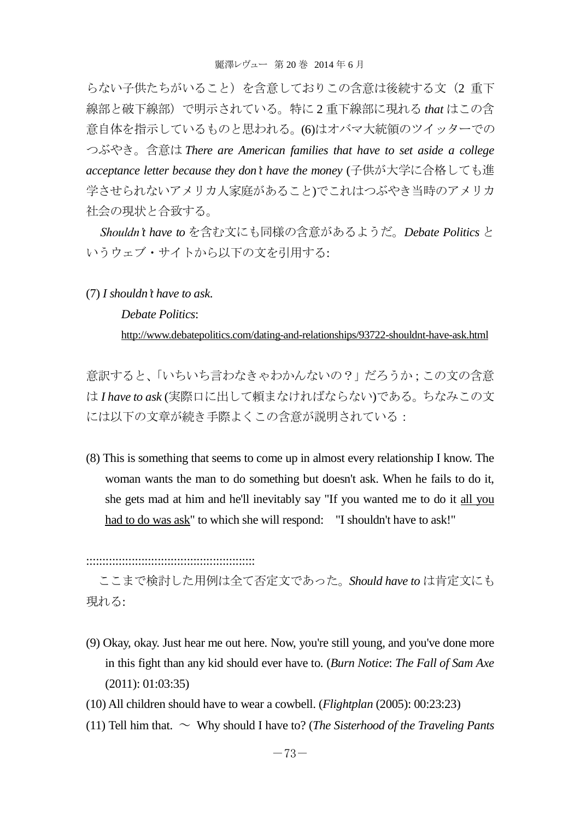らない子供たちがいること)を含意しておりこの含意は後続する文(2 重下 線部と破下線部)で明示されている。特に 2 重下線部に現れる *that* はこの含 意自体を指示しているものと思われる。(6)はオバマ大統領のツイッターでの つぶやき。含意は *There are American families that have to set aside a college acceptance letter because they don't have the money* (子供が大学に合格しても進 学させられないアメリカ人家庭があること)でこれはつぶやき当時のアメリカ 社会の現状と合致する。

*Shouldn't have to* を含む文にも同様の含意があるようだ。*Debate Politics* と いうウェブ・サイトから以下の文を引用する:

(7) *I shouldn't have to ask*.

*Debate Politics*:

<http://www.debatepolitics.com/dating-and-relationships/93722-shouldnt-have-ask.html>

意訳すると、「いちいち言わなきゃわかんないの?」だろうか;この文の含意 は *I have to ask* (実際口に出して頼まなければならない)である。ちなみこの文 には以下の文章が続き手際よくこの含意が説明されている:

(8) This is something that seems to come up in almost every relationship I know. The woman wants the man to do something but doesn't ask. When he fails to do it, she gets mad at him and he'll inevitably say "If you wanted me to do it all you had to do was ask" to which she will respond: "I shouldn't have to ask!"

::::::::::::::::::::::::::::::::::::::::::::::::::::

ここまで検討した用例は全て否定文であった。*Should have to* は肯定文にも 現れる:

- (9) Okay, okay. Just hear me out here. Now, you're still young, and you've done more in this fight than any kid should ever have to. (*Burn Notice*: *The Fall of Sam Axe* (2011): 01:03:35)
- (10) All children should have to wear a cowbell. (*Flightplan* (2005): 00:23:23)
- (11) Tell him that.  $\sim$  Why should I have to? (*The Sisterhood of the Traveling Pants*)